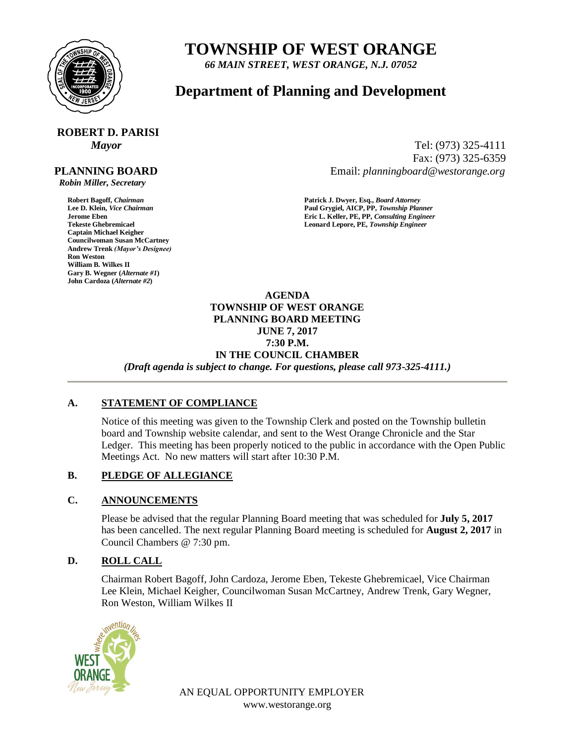

## **TOWNSHIP OF WEST ORANGE**

*66 MAIN STREET, WEST ORANGE, N.J. 07052*

## **Department of Planning and Development**

# **ROBERT D. PARISI**

#### **PLANNING BOARD**

 *Robin Miller, Secretary*

**Captain Michael Keigher Councilwoman Susan McCartney Andrew Trenk** *(Mayor's Designee)* **Ron Weston William B. Wilkes II Gary B. Wegner (***Alternate #1***) John Cardoza (***Alternate #2***)**

*Mayor* Tel: (973) 325-4111 Fax: (973) 325-6359 Email: *planningboard@westorange.org*

**Robert Bagoff,** *Chairman* **<b>Patrick J. Dwyer, Esq.,** *Board Attorney*<br> **Patrick J. Dwyer, Esq.,** *Board Attorney*<br> **Paul Grygiel, AICP, PP,** *Township Plan* **Lee D. Klein,** *Vice Chairman* **Paul Grygiel, AICP, PP,** *Township Planner* **Jerome Eben Eric L. Keller, PE, PP,** *Consulting Engineer* Leonard Lepore, PE, Township Engineer

> **AGENDA TOWNSHIP OF WEST ORANGE PLANNING BOARD MEETING JUNE 7, 2017 7:30 P.M. IN THE COUNCIL CHAMBER** *(Draft agenda is subject to change. For questions, please call 973-325-4111.)*

#### **A. STATEMENT OF COMPLIANCE**

Notice of this meeting was given to the Township Clerk and posted on the Township bulletin board and Township website calendar, and sent to the West Orange Chronicle and the Star Ledger. This meeting has been properly noticed to the public in accordance with the Open Public Meetings Act. No new matters will start after 10:30 P.M.

### **B. PLEDGE OF ALLEGIANCE**

#### **C. ANNOUNCEMENTS**

Please be advised that the regular Planning Board meeting that was scheduled for **July 5, 2017** has been cancelled. The next regular Planning Board meeting is scheduled for **August 2, 2017** in Council Chambers @ 7:30 pm.

### **D. ROLL CALL**

Chairman Robert Bagoff, John Cardoza, Jerome Eben, Tekeste Ghebremicael, Vice Chairman Lee Klein, Michael Keigher, Councilwoman Susan McCartney, Andrew Trenk, Gary Wegner, Ron Weston, William Wilkes II



AN EQUAL OPPORTUNITY EMPLOYER www.westorange.org